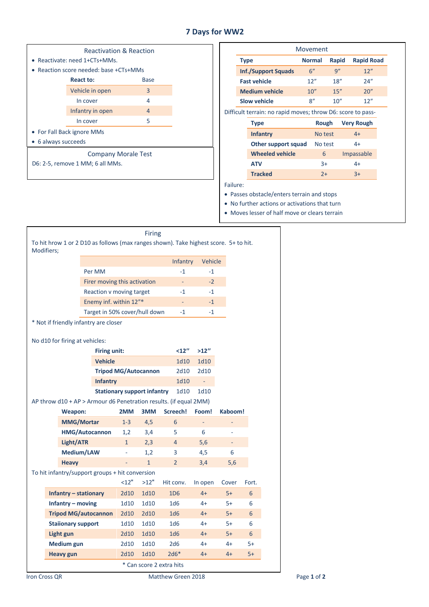## **7 Days for WW2**

| <b>Reactivation &amp; Reaction</b>   |      |  |  |  |  |
|--------------------------------------|------|--|--|--|--|
| Reactivate: need 1+CTs+MMs.          |      |  |  |  |  |
| Reaction score needed: base +CTs+MMs |      |  |  |  |  |
| React to:                            | Base |  |  |  |  |
| Vehicle in open                      | 3    |  |  |  |  |
| In cover                             | 4    |  |  |  |  |
| Infantry in open                     |      |  |  |  |  |
| 5<br>In cover                        |      |  |  |  |  |
| • For Fall Back ignore MMs           |      |  |  |  |  |
| • 6 always succeeds                  |      |  |  |  |  |
| <b>Company Morale Test</b>           |      |  |  |  |  |
| D6: 2-5, remove 1 MM; 6 all MMs.     |      |  |  |  |  |
|                                      |      |  |  |  |  |

|                                                             | Movement                                              |                       |               |       |                   |  |
|-------------------------------------------------------------|-------------------------------------------------------|-----------------------|---------------|-------|-------------------|--|
|                                                             | <b>Type</b><br><b>Inf./Support Squads</b>             |                       | <b>Normal</b> | Rapid | <b>Rapid Road</b> |  |
|                                                             |                                                       |                       | 6"            | 9''   | 12"               |  |
|                                                             |                                                       | <b>Fast vehicle</b>   | 12"           | 18"   | 24''              |  |
|                                                             |                                                       | <b>Medium vehicle</b> | 10''          | 15''  | 20''              |  |
|                                                             | <b>Slow vehicle</b>                                   |                       | 8''           | 10''  | 12"               |  |
| Difficult terrain: no rapid moves; throw D6: score to pass- |                                                       |                       |               |       |                   |  |
|                                                             | <b>Type</b><br><b>Infantry</b><br>Other support squad |                       | Rough         |       | <b>Very Rough</b> |  |
|                                                             |                                                       |                       | No test       |       | $4+$              |  |
|                                                             |                                                       |                       | No test       |       | $4+$              |  |
|                                                             | <b>Wheeled vehicle</b>                                |                       | 6             |       | Impassable        |  |
|                                                             | <b>ATV</b>                                            |                       | $3+$          |       | 4+                |  |
|                                                             |                                                       | <b>Tracked</b>        | $2+$          |       | $3+$              |  |
| Failure:                                                    |                                                       |                       |               |       |                   |  |

Failure:

• Passes obstacle/enters terrain and stops

• No further actions or activations that turn

• Moves lesser of half move or clears terrain

| <b>Firing</b><br>To hit hrow 1 or 2 D10 as follows (max ranges shown). Take highest score. 5+ to hit. |                                       |                                    |              |                 |                                                                   |         |      |      |
|-------------------------------------------------------------------------------------------------------|---------------------------------------|------------------------------------|--------------|-----------------|-------------------------------------------------------------------|---------|------|------|
| Modifiers;                                                                                            |                                       |                                    |              |                 |                                                                   |         |      |      |
|                                                                                                       |                                       |                                    |              |                 | Infantry                                                          | Vehicle |      |      |
|                                                                                                       |                                       | Per MM                             |              |                 | $-1$                                                              | $-1$    |      |      |
|                                                                                                       |                                       | Firer moving this activation       |              |                 |                                                                   | $-2$    |      |      |
|                                                                                                       |                                       | Reaction v moving target           | $-1$         | $-1$            |                                                                   |         |      |      |
|                                                                                                       |                                       | Enemy inf. within 12"*             |              |                 |                                                                   | $-1$    |      |      |
|                                                                                                       |                                       | Target in 50% cover/hull down      |              |                 | $-1$                                                              | $-1$    |      |      |
|                                                                                                       | * Not if friendly infantry are closer |                                    |              |                 |                                                                   |         |      |      |
|                                                                                                       |                                       |                                    |              |                 |                                                                   |         |      |      |
|                                                                                                       | No d10 for firing at vehicles:        |                                    |              |                 |                                                                   |         |      |      |
|                                                                                                       |                                       | <b>Firing unit:</b>                |              |                 | $12''$                                                            | >12''   |      |      |
|                                                                                                       |                                       | <b>Vehicle</b>                     |              |                 | 1d10                                                              | 1d10    |      |      |
|                                                                                                       |                                       | <b>Tripod MG/Autocannon</b>        |              |                 | 2d10                                                              | 2d10    |      |      |
|                                                                                                       |                                       | <b>Infantry</b>                    |              |                 | 1d10                                                              |         |      |      |
|                                                                                                       |                                       | <b>Stationary support infantry</b> |              |                 | 1d10                                                              | 1d10    |      |      |
|                                                                                                       |                                       |                                    |              |                 | AP throw d10 + AP > Armour d6 Penetration results. (if equal 2MM) |         |      |      |
| Weapon:                                                                                               |                                       | 2MM                                | 3MM          | Screech!        | Foom!                                                             | Kaboom! |      |      |
| <b>MMG/Mortar</b>                                                                                     |                                       | $1 - 3$                            | 4,5          | 6               |                                                                   |         |      |      |
| <b>HMG/Autocannon</b>                                                                                 |                                       | 1,2                                | 3,4          | 5               | 6                                                                 |         |      |      |
|                                                                                                       | Light/ATR                             |                                    | $\mathbf{1}$ | 2,3             | $\overline{4}$                                                    | 5,6     |      |      |
| Medium/LAW                                                                                            |                                       |                                    | 1,2          | 3               | 4,5                                                               | 6       |      |      |
| <b>Heavy</b>                                                                                          |                                       |                                    | $\mathbf{1}$ | $\overline{2}$  | 3,4                                                               | 5,6     |      |      |
| To hit infantry/support groups + hit conversion                                                       |                                       |                                    |              |                 |                                                                   |         |      |      |
| <12"<br>>12"                                                                                          |                                       |                                    | Hit conv.    | In open         | Cover                                                             | Fort.   |      |      |
|                                                                                                       | Infantry – stationary                 |                                    | 2d10         | 1d10            | 1D <sub>6</sub>                                                   | $4+$    | $5+$ | 6    |
| Infantry - moving                                                                                     |                                       | 1d10                               | 1d10         | 1 <sub>d6</sub> | $4+$                                                              | $5+$    | 6    |      |
| <b>Tripod MG/autocannon</b>                                                                           |                                       | 2d10                               | 2d10         | 1d6             | $4+$                                                              | $5+$    | 6    |      |
| <b>Staiionary support</b>                                                                             |                                       | 1d10                               | 1d10         | 1 <sub>d6</sub> | $4+$                                                              | $5+$    | 6    |      |
|                                                                                                       | Light gun                             |                                    | 2d10         | 1d10            | 1 <sub>d6</sub>                                                   | $4+$    | $5+$ | 6    |
|                                                                                                       | Medium gun                            |                                    | 2d10         | 1d10            | 2d6                                                               | $4+$    | $4+$ | $5+$ |
|                                                                                                       |                                       |                                    |              |                 |                                                                   |         |      |      |
|                                                                                                       | Heavy gun                             |                                    | 2d10         | 1d10            | $2d6*$                                                            | $4+$    | $4+$ | $5+$ |